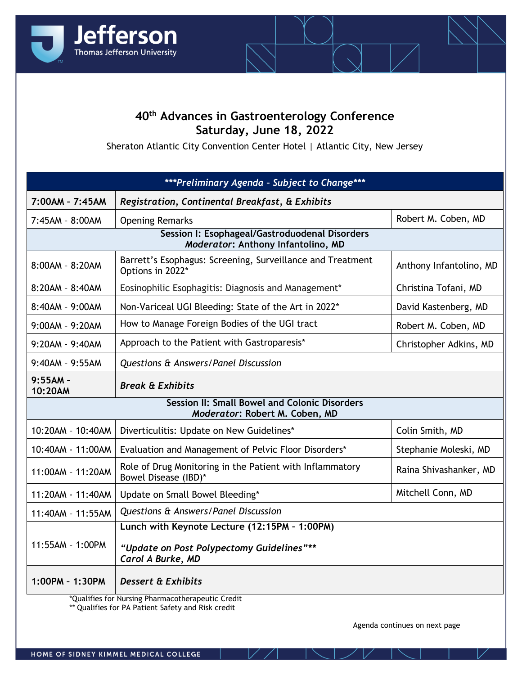

## **40th Advances in Gastroenterology Conference Saturday, June 18, 2022**

Sheraton Atlantic City Convention Center Hotel | Atlantic City, New Jersey

| ***Preliminary Agenda - Subject to Change***                                           |                                                                                  |                         |  |
|----------------------------------------------------------------------------------------|----------------------------------------------------------------------------------|-------------------------|--|
| 7:00AM - 7:45AM                                                                        | Registration, Continental Breakfast, & Exhibits                                  |                         |  |
| 7:45AM - 8:00AM                                                                        | <b>Opening Remarks</b>                                                           | Robert M. Coben, MD     |  |
| Session I: Esophageal/Gastroduodenal Disorders<br>Moderator: Anthony Infantolino, MD   |                                                                                  |                         |  |
| 8:00AM - 8:20AM                                                                        | Barrett's Esophagus: Screening, Surveillance and Treatment<br>Options in 2022*   | Anthony Infantolino, MD |  |
| 8:20AM - 8:40AM                                                                        | Eosinophilic Esophagitis: Diagnosis and Management*                              | Christina Tofani, MD    |  |
| 8:40AM - 9:00AM                                                                        | Non-Variceal UGI Bleeding: State of the Art in 2022*                             | David Kastenberg, MD    |  |
| $9:00AM - 9:20AM$                                                                      | How to Manage Foreign Bodies of the UGI tract                                    | Robert M. Coben, MD     |  |
| 9:20AM - 9:40AM                                                                        | Approach to the Patient with Gastroparesis*                                      | Christopher Adkins, MD  |  |
| $9:40AM - 9:55AM$                                                                      | Questions & Answers/Panel Discussion                                             |                         |  |
| $9:55AM -$<br>10:20AM                                                                  | <b>Break &amp; Exhibits</b>                                                      |                         |  |
| <b>Session II: Small Bowel and Colonic Disorders</b><br>Moderator: Robert M. Coben, MD |                                                                                  |                         |  |
| 10:20AM - 10:40AM                                                                      | Diverticulitis: Update on New Guidelines*                                        | Colin Smith, MD         |  |
| 10:40AM - 11:00AM                                                                      | Evaluation and Management of Pelvic Floor Disorders*                             | Stephanie Moleski, MD   |  |
| 11:00AM - 11:20AM                                                                      | Role of Drug Monitoring in the Patient with Inflammatory<br>Bowel Disease (IBD)* | Raina Shivashanker, MD  |  |
| 11:20AM - 11:40AM                                                                      | Update on Small Bowel Bleeding*                                                  | Mitchell Conn, MD       |  |
| 11:40AM - 11:55AM                                                                      | Questions & Answers/Panel Discussion                                             |                         |  |
|                                                                                        | Lunch with Keynote Lecture (12:15PM - 1:00PM)                                    |                         |  |
| 11:55AM - 1:00PM                                                                       | "Update on Post Polypectomy Guidelines"**<br>Carol A Burke, MD                   |                         |  |
| 1:00PM - 1:30PM                                                                        | <b>Dessert &amp; Exhibits</b>                                                    |                         |  |

\*Qualifies for Nursing Pharmacotherapeutic Credit

\*\* Qualifies for PA Patient Safety and Risk credit

Agenda continues on next page